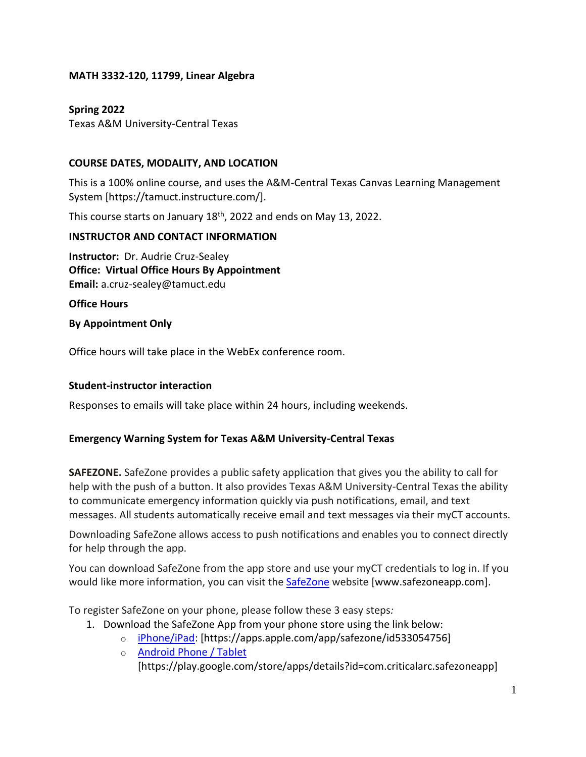### **MATH 3332-120, 11799, Linear Algebra**

# **Spring 2022** Texas A&M University-Central Texas

# **COURSE DATES, MODALITY, AND LOCATION**

This is a 100% online course, and uses the A&M-Central Texas Canvas Learning Management System [https://tamuct.instructure.com/].

This course starts on January 18<sup>th</sup>, 2022 and ends on May 13, 2022.

### **INSTRUCTOR AND CONTACT INFORMATION**

**Instructor:** Dr. Audrie Cruz-Sealey **Office: Virtual Office Hours By Appointment Email:** a.cruz-sealey@tamuct.edu

**Office Hours**

**By Appointment Only**

Office hours will take place in the WebEx conference room.

## **Student-instructor interaction**

Responses to emails will take place within 24 hours, including weekends.

## **Emergency Warning System for Texas A&M University-Central Texas**

**SAFEZONE.** SafeZone provides a public safety application that gives you the ability to call for help with the push of a button. It also provides Texas A&M University-Central Texas the ability to communicate emergency information quickly via push notifications, email, and text messages. All students automatically receive email and text messages via their myCT accounts.

Downloading SafeZone allows access to push notifications and enables you to connect directly for help through the app.

You can download SafeZone from the app store and use your myCT credentials to log in. If you would like more information, you can visit the [SafeZone](http://www.safezoneapp.com/) website [www.safezoneapp.com].

To register SafeZone on your phone, please follow these 3 easy steps*:*

- 1. Download the SafeZone App from your phone store using the link below:
	- o [iPhone/iPad:](https://apps.apple.com/app/safezone/id533054756) [https://apps.apple.com/app/safezone/id533054756]
	- o [Android Phone / Tablet](https://play.google.com/store/apps/details?id=com.criticalarc.safezoneapp) [https://play.google.com/store/apps/details?id=com.criticalarc.safezoneapp]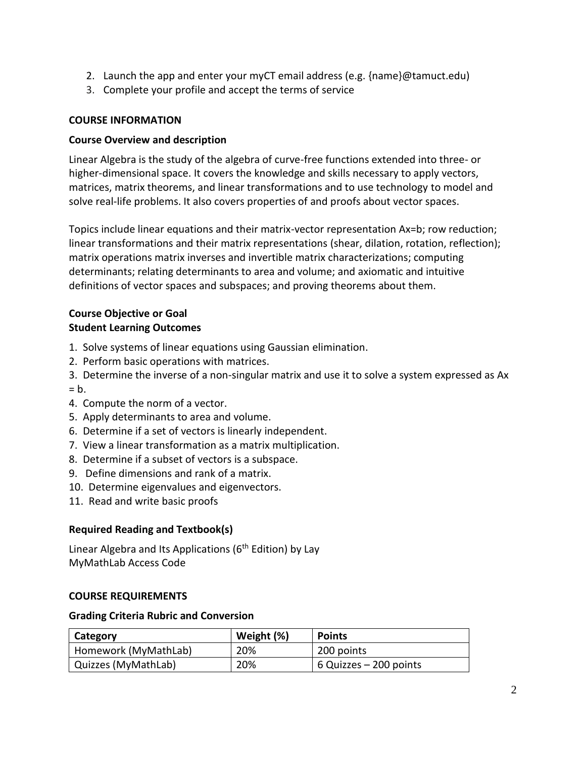- 2. Launch the app and enter your myCT email address (e.g. {name}@tamuct.edu)
- 3. Complete your profile and accept the terms of service

### **COURSE INFORMATION**

### **Course Overview and description**

Linear Algebra is the study of the algebra of curve-free functions extended into three- or higher-dimensional space. It covers the knowledge and skills necessary to apply vectors, matrices, matrix theorems, and linear transformations and to use technology to model and solve real-life problems. It also covers properties of and proofs about vector spaces.

Topics include linear equations and their matrix-vector representation Ax=b; row reduction; linear transformations and their matrix representations (shear, dilation, rotation, reflection); matrix operations matrix inverses and invertible matrix characterizations; computing determinants; relating determinants to area and volume; and axiomatic and intuitive definitions of vector spaces and subspaces; and proving theorems about them.

### **Course Objective or Goal Student Learning Outcomes**

- 1. Solve systems of linear equations using Gaussian elimination.
- 2. Perform basic operations with matrices.
- 3. Determine the inverse of a non-singular matrix and use it to solve a system expressed as Ax  $= b$ .
- 4. Compute the norm of a vector.
- 5. Apply determinants to area and volume.
- 6. Determine if a set of vectors is linearly independent.
- 7. View a linear transformation as a matrix multiplication.
- 8. Determine if a subset of vectors is a subspace.
- 9. Define dimensions and rank of a matrix.
- 10. Determine eigenvalues and eigenvectors.
- 11. Read and write basic proofs

## **Required Reading and Textbook(s)**

Linear Algebra and Its Applications ( $6<sup>th</sup>$  Edition) by Lay MyMathLab Access Code

#### **COURSE REQUIREMENTS**

#### **Grading Criteria Rubric and Conversion**

| Category             | Weight (%) | <b>Points</b>          |
|----------------------|------------|------------------------|
| Homework (MyMathLab) | 20%        | 200 points             |
| Quizzes (MyMathLab)  | 20%        | 6 Quizzes – 200 points |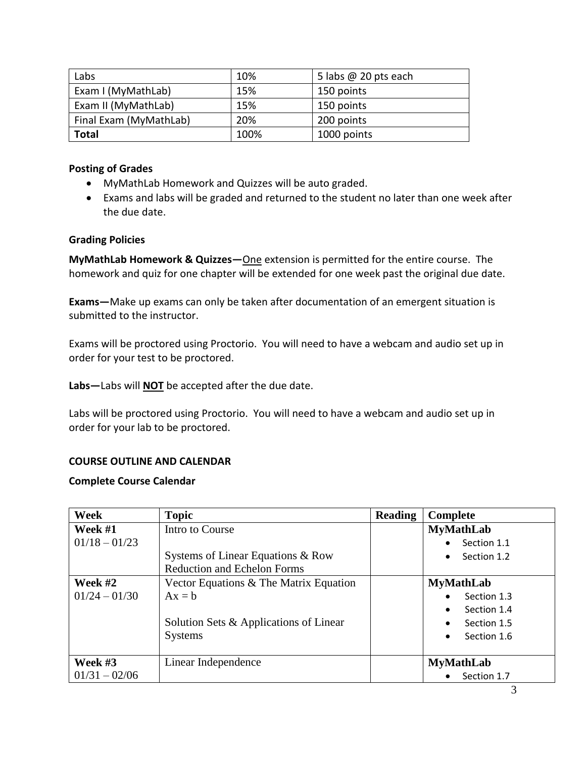| Labs                   | 10%  | 5 labs $@$ 20 pts each |
|------------------------|------|------------------------|
| Exam I (MyMathLab)     | 15%  | 150 points             |
| Exam II (MyMathLab)    | 15%  | 150 points             |
| Final Exam (MyMathLab) | 20%  | 200 points             |
| Total                  | 100% | 1000 points            |

### **Posting of Grades**

- MyMathLab Homework and Quizzes will be auto graded.
- Exams and labs will be graded and returned to the student no later than one week after the due date.

#### **Grading Policies**

**MyMathLab Homework & Quizzes—**One extension is permitted for the entire course. The homework and quiz for one chapter will be extended for one week past the original due date.

**Exams—**Make up exams can only be taken after documentation of an emergent situation is submitted to the instructor.

Exams will be proctored using Proctorio. You will need to have a webcam and audio set up in order for your test to be proctored.

**Labs—**Labs will **NOT** be accepted after the due date.

Labs will be proctored using Proctorio. You will need to have a webcam and audio set up in order for your lab to be proctored.

## **COURSE OUTLINE AND CALENDAR**

#### **Complete Course Calendar**

| Week            | <b>Topic</b>                           | <b>Reading</b> | Complete                 |
|-----------------|----------------------------------------|----------------|--------------------------|
| Week $#1$       | Intro to Course                        |                | <b>MyMathLab</b>         |
| $01/18 - 01/23$ |                                        |                | Section 1.1<br>$\bullet$ |
|                 | Systems of Linear Equations & Row      |                | Section 1.2<br>$\bullet$ |
|                 | <b>Reduction and Echelon Forms</b>     |                |                          |
| Week #2         | Vector Equations & The Matrix Equation |                | <b>MyMathLab</b>         |
| $01/24 - 01/30$ | $Ax = b$                               |                | Section 1.3<br>$\bullet$ |
|                 |                                        |                | Section 1.4<br>$\bullet$ |
|                 | Solution Sets & Applications of Linear |                | Section 1.5<br>$\bullet$ |
|                 | <b>Systems</b>                         |                | Section 1.6<br>$\bullet$ |
|                 |                                        |                |                          |
| Week $#3$       | Linear Independence                    |                | <b>MyMathLab</b>         |
| $01/31 - 02/06$ |                                        |                | Section 1.7<br>$\bullet$ |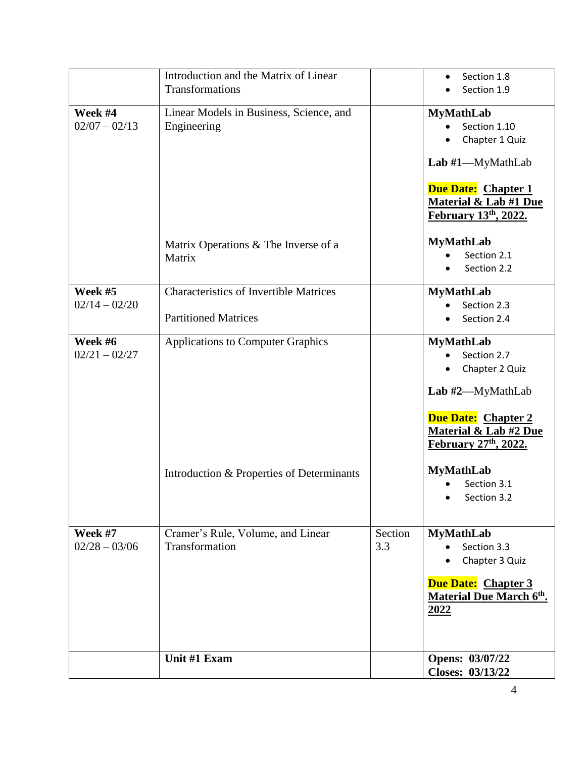|                            | Introduction and the Matrix of Linear<br>Transformations                     |                | Section 1.8<br>Section 1.9                                                                                                                                                   |
|----------------------------|------------------------------------------------------------------------------|----------------|------------------------------------------------------------------------------------------------------------------------------------------------------------------------------|
| Week #4<br>$02/07 - 02/13$ | Linear Models in Business, Science, and<br>Engineering                       |                | <b>MyMathLab</b><br>Section 1.10<br>Chapter 1 Quiz<br>Lab #1—MyMathLab<br><b>Due Date: Chapter 1</b><br><b>Material &amp; Lab #1 Due</b>                                     |
|                            | Matrix Operations & The Inverse of a<br>Matrix                               |                | <u>February 13th, 2022.</u><br><b>MyMathLab</b><br>Section 2.1<br>Section 2.2                                                                                                |
| Week #5<br>$02/14 - 02/20$ | <b>Characteristics of Invertible Matrices</b><br><b>Partitioned Matrices</b> |                | <b>MyMathLab</b><br>Section 2.3<br>Section 2.4                                                                                                                               |
| Week #6<br>$02/21 - 02/27$ | <b>Applications to Computer Graphics</b>                                     |                | <b>MyMathLab</b><br>Section 2.7<br>Chapter 2 Quiz<br>$\bullet$<br>Lab #2-MyMathLab<br><b>Due Date: Chapter 2</b><br><b>Material &amp; Lab #2 Due</b><br>February 27th, 2022. |
|                            | Introduction & Properties of Determinants                                    |                | <b>MyMathLab</b><br>Section 3.1<br>Section 3.2                                                                                                                               |
| Week #7<br>$02/28 - 03/06$ | Cramer's Rule, Volume, and Linear<br>Transformation                          | Section<br>3.3 | <b>MyMathLab</b><br>Section 3.3<br>Chapter 3 Quiz<br>Due Date: Chapter 3<br><b>Material Due March 6th.</b><br>2022                                                           |
|                            | Unit #1 Exam                                                                 |                | Opens: 03/07/22<br>Closes: 03/13/22                                                                                                                                          |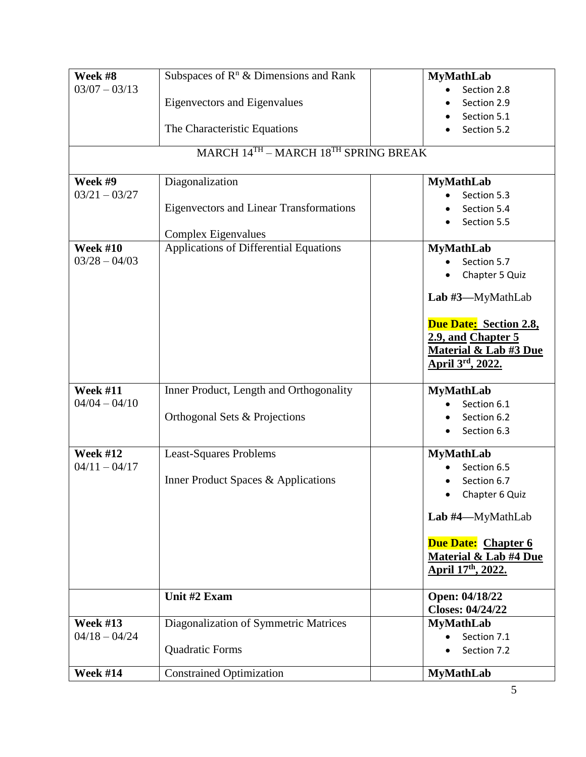| Week #8         | Subspaces of $R^n$ & Dimensions and Rank       | <b>MyMathLab</b>                                                                                     |
|-----------------|------------------------------------------------|------------------------------------------------------------------------------------------------------|
| $03/07 - 03/13$ |                                                | Section 2.8                                                                                          |
|                 | <b>Eigenvectors and Eigenvalues</b>            | Section 2.9                                                                                          |
|                 |                                                | Section 5.1                                                                                          |
|                 | The Characteristic Equations                   | Section 5.2                                                                                          |
|                 | MARCH $14^{TH}$ – MARCH $18^{TH}$ SPRING BREAK |                                                                                                      |
| Week #9         | Diagonalization                                | <b>MyMathLab</b>                                                                                     |
| $03/21 - 03/27$ |                                                | Section 5.3                                                                                          |
|                 | <b>Eigenvectors and Linear Transformations</b> | Section 5.4                                                                                          |
|                 | Complex Eigenvalues                            | Section 5.5                                                                                          |
| <b>Week #10</b> | Applications of Differential Equations         | <b>MyMathLab</b>                                                                                     |
| $03/28 - 04/03$ |                                                | Section 5.7                                                                                          |
|                 |                                                | Chapter 5 Quiz<br>٠                                                                                  |
|                 |                                                | Lab $\#3$ —MyMathLab                                                                                 |
|                 |                                                | Due Date: Section 2.8,<br>2.9, and Chapter 5<br><b>Material &amp; Lab #3 Due</b><br>April 3rd, 2022. |
| <b>Week #11</b> | Inner Product, Length and Orthogonality        | <b>MyMathLab</b>                                                                                     |
| $04/04 - 04/10$ |                                                | Section 6.1                                                                                          |
|                 | Orthogonal Sets & Projections                  | Section 6.2<br>Section 6.3                                                                           |
| <b>Week #12</b> | <b>Least-Squares Problems</b>                  | <b>MyMathLab</b>                                                                                     |
| $04/11 - 04/17$ |                                                | Section 6.5                                                                                          |
|                 | Inner Product Spaces & Applications            | Section 6.7                                                                                          |
|                 |                                                | <b>Chapter 6 Quiz</b>                                                                                |
|                 |                                                | Lab #4-MyMathLab                                                                                     |
|                 |                                                | <b>Due Date: Chapter 6</b><br>Material & Lab #4 Due<br>April 17th, 2022.                             |
|                 | Unit #2 Exam                                   | Open: 04/18/22<br><b>Closes: 04/24/22</b>                                                            |
| <b>Week #13</b> | Diagonalization of Symmetric Matrices          | <b>MyMathLab</b>                                                                                     |
| $04/18 - 04/24$ |                                                | Section 7.1                                                                                          |
|                 | Quadratic Forms                                | Section 7.2                                                                                          |
| <b>Week #14</b> | <b>Constrained Optimization</b>                | <b>MyMathLab</b>                                                                                     |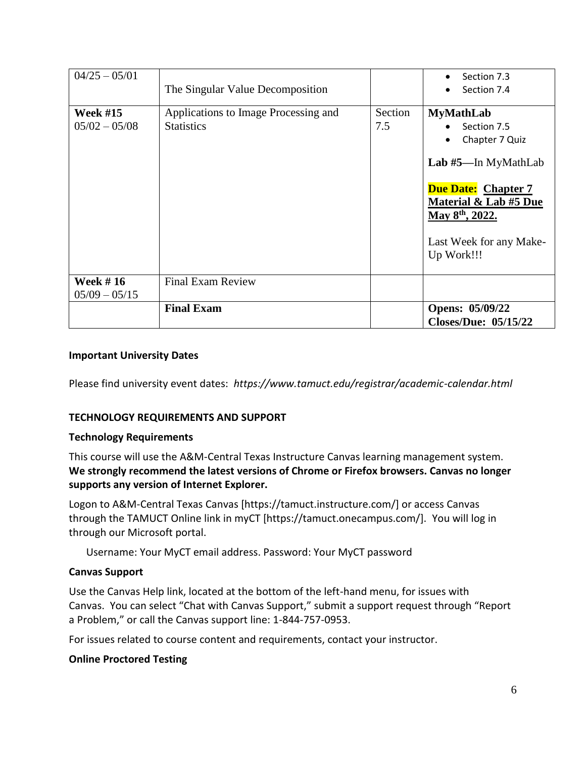| $04/25 - 05/01$                    | The Singular Value Decomposition                          |                | Section 7.3<br>Section 7.4                                                                                                                                                                              |
|------------------------------------|-----------------------------------------------------------|----------------|---------------------------------------------------------------------------------------------------------------------------------------------------------------------------------------------------------|
| <b>Week #15</b><br>$05/02 - 05/08$ | Applications to Image Processing and<br><b>Statistics</b> | Section<br>7.5 | <b>MyMathLab</b><br>Section 7.5<br>Chapter 7 Quiz<br>Lab #5—In MyMathLab<br><b>Due Date: Chapter 7</b><br>Material & Lab #5 Due<br>May 8 <sup>th</sup> , 2022.<br>Last Week for any Make-<br>Up Work!!! |
| <b>Week #16</b><br>$05/09 - 05/15$ | <b>Final Exam Review</b>                                  |                |                                                                                                                                                                                                         |
|                                    | <b>Final Exam</b>                                         |                | Opens: 05/09/22<br><b>Closes/Due: 05/15/22</b>                                                                                                                                                          |

### **Important University Dates**

Please find university event dates: *https://www.tamuct.edu/registrar/academic-calendar.html*

## **TECHNOLOGY REQUIREMENTS AND SUPPORT**

#### **Technology Requirements**

This course will use the A&M-Central Texas Instructure Canvas learning management system. **We strongly recommend the latest versions of Chrome or Firefox browsers. Canvas no longer supports any version of Internet Explorer.**

Logon to A&M-Central Texas Canvas [https://tamuct.instructure.com/] or access Canvas through the TAMUCT Online link in myCT [https://tamuct.onecampus.com/]. You will log in through our Microsoft portal.

Username: Your MyCT email address. Password: Your MyCT password

#### **Canvas Support**

Use the Canvas Help link, located at the bottom of the left-hand menu, for issues with Canvas. You can select "Chat with Canvas Support," submit a support request through "Report a Problem," or call the Canvas support line: 1-844-757-0953.

For issues related to course content and requirements, contact your instructor.

#### **Online Proctored Testing**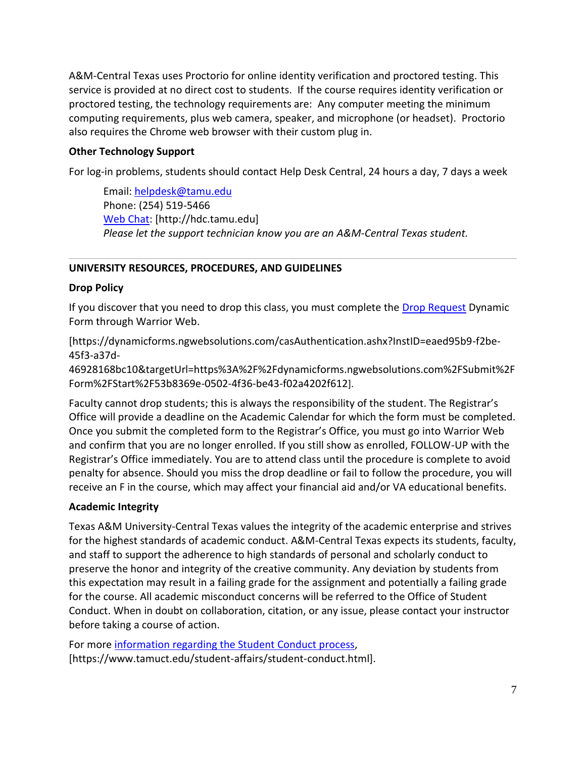A&M-Central Texas uses Proctorio for online identity verification and proctored testing. This service is provided at no direct cost to students. If the course requires identity verification or proctored testing, the technology requirements are: Any computer meeting the minimum computing requirements, plus web camera, speaker, and microphone (or headset). Proctorio also requires the Chrome web browser with their custom plug in.

## **Other Technology Support**

For log-in problems, students should contact Help Desk Central, 24 hours a day, 7 days a week

Email: [helpdesk@tamu.edu](mailto:helpdesk@tamu.edu) Phone: (254) 519-5466 [Web Chat:](http://hdc.tamu.edu/) [http://hdc.tamu.edu] *Please let the support technician know you are an A&M-Central Texas student.*

### **UNIVERSITY RESOURCES, PROCEDURES, AND GUIDELINES**

#### **Drop Policy**

If you discover that you need to drop this class, you must complete the [Drop Request](https://dynamicforms.ngwebsolutions.com/casAuthentication.ashx?InstID=eaed95b9-f2be-45f3-a37d-46928168bc10&targetUrl=https%3A%2F%2Fdynamicforms.ngwebsolutions.com%2FSubmit%2FForm%2FStart%2F53b8369e-0502-4f36-be43-f02a4202f612) Dynamic Form through Warrior Web.

[https://dynamicforms.ngwebsolutions.com/casAuthentication.ashx?InstID=eaed95b9-f2be-45f3-a37d-

46928168bc10&targetUrl=https%3A%2F%2Fdynamicforms.ngwebsolutions.com%2FSubmit%2F Form%2FStart%2F53b8369e-0502-4f36-be43-f02a4202f612].

Faculty cannot drop students; this is always the responsibility of the student. The Registrar's Office will provide a deadline on the Academic Calendar for which the form must be completed. Once you submit the completed form to the Registrar's Office, you must go into Warrior Web and confirm that you are no longer enrolled. If you still show as enrolled, FOLLOW-UP with the Registrar's Office immediately. You are to attend class until the procedure is complete to avoid penalty for absence. Should you miss the drop deadline or fail to follow the procedure, you will receive an F in the course, which may affect your financial aid and/or VA educational benefits.

#### **Academic Integrity**

Texas A&M University-Central Texas values the integrity of the academic enterprise and strives for the highest standards of academic conduct. A&M-Central Texas expects its students, faculty, and staff to support the adherence to high standards of personal and scholarly conduct to preserve the honor and integrity of the creative community. Any deviation by students from this expectation may result in a failing grade for the assignment and potentially a failing grade for the course. All academic misconduct concerns will be referred to the Office of Student Conduct. When in doubt on collaboration, citation, or any issue, please contact your instructor before taking a course of action.

For more [information](https://nam04.safelinks.protection.outlook.com/?url=https%3A%2F%2Fwww.tamuct.edu%2Fstudent-affairs%2Fstudent-conduct.html&data=04%7C01%7Clisa.bunkowski%40tamuct.edu%7Ccfb6e486f24745f53e1a08d910055cb2%7C9eed4e3000f744849ff193ad8005acec%7C0%7C0%7C637558437485252160%7CUnknown%7CTWFpbGZsb3d8eyJWIjoiMC4wLjAwMDAiLCJQIjoiV2luMzIiLCJBTiI6Ik1haWwiLCJXVCI6Mn0%3D%7C1000&sdata=yjftDEVHvLX%2FhM%2FcFU0B99krV1RgEWR%2BJ%2BhvtoR6TYk%3D&reserved=0) regarding the Student Conduct process, [https://www.tamuct.edu/student-affairs/student-conduct.html].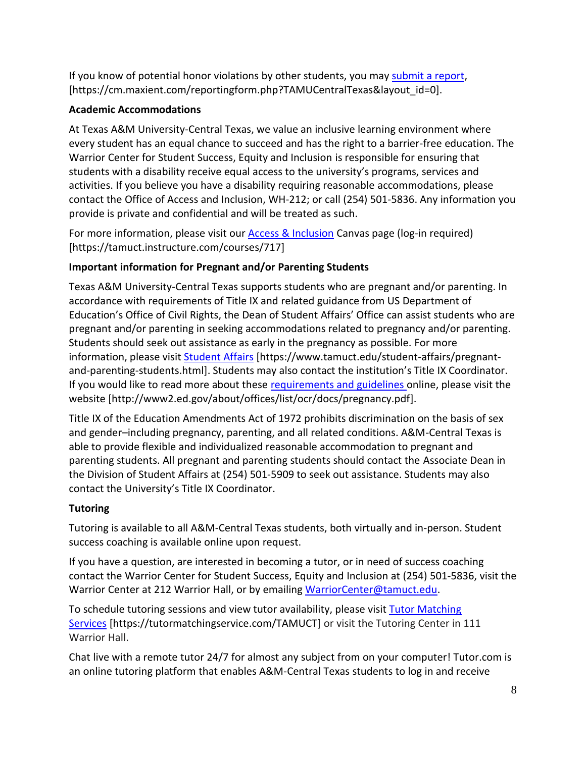If you know of potential honor violations by other students, you may [submit](https://nam04.safelinks.protection.outlook.com/?url=https%3A%2F%2Fcm.maxient.com%2Freportingform.php%3FTAMUCentralTexas%26layout_id%3D0&data=04%7C01%7Clisa.bunkowski%40tamuct.edu%7Ccfb6e486f24745f53e1a08d910055cb2%7C9eed4e3000f744849ff193ad8005acec%7C0%7C0%7C637558437485262157%7CUnknown%7CTWFpbGZsb3d8eyJWIjoiMC4wLjAwMDAiLCJQIjoiV2luMzIiLCJBTiI6Ik1haWwiLCJXVCI6Mn0%3D%7C1000&sdata=CXGkOa6uPDPX1IMZ87z3aZDq2n91xfHKu4MMS43Ejjk%3D&reserved=0) a report, [https://cm.maxient.com/reportingform.php?TAMUCentralTexas&layout\_id=0].

# **Academic Accommodations**

At Texas A&M University-Central Texas, we value an inclusive learning environment where every student has an equal chance to succeed and has the right to a barrier-free education. The Warrior Center for Student Success, Equity and Inclusion is responsible for ensuring that students with a disability receive equal access to the university's programs, services and activities. If you believe you have a disability requiring reasonable accommodations, please contact the Office of Access and Inclusion, WH-212; or call (254) 501-5836. Any information you provide is private and confidential and will be treated as such.

For more information, please visit our [Access & Inclusion](https://tamuct.instructure.com/courses/717) Canvas page (log-in required) [https://tamuct.instructure.com/courses/717]

# **Important information for Pregnant and/or Parenting Students**

Texas A&M University-Central Texas supports students who are pregnant and/or parenting. In accordance with requirements of Title IX and related guidance from US Department of Education's Office of Civil Rights, the Dean of Student Affairs' Office can assist students who are pregnant and/or parenting in seeking accommodations related to pregnancy and/or parenting. Students should seek out assistance as early in the pregnancy as possible. For more information, please visit [Student Affairs](https://www.tamuct.edu/student-affairs/pregnant-and-parenting-students.html) [https://www.tamuct.edu/student-affairs/pregnantand-parenting-students.html]. Students may also contact the institution's Title IX Coordinator. If you would like to read more about these [requirements and guidelines](http://www2.ed.gov/about/offices/list/ocr/docs/pregnancy.pdf) online, please visit the website [http://www2.ed.gov/about/offices/list/ocr/docs/pregnancy.pdf].

Title IX of the Education Amendments Act of 1972 prohibits discrimination on the basis of sex and gender–including pregnancy, parenting, and all related conditions. A&M-Central Texas is able to provide flexible and individualized reasonable accommodation to pregnant and parenting students. All pregnant and parenting students should contact the Associate Dean in the Division of Student Affairs at (254) 501-5909 to seek out assistance. Students may also contact the University's Title IX Coordinator.

# **Tutoring**

Tutoring is available to all A&M-Central Texas students, both virtually and in-person. Student success coaching is available online upon request.

If you have a question, are interested in becoming a tutor, or in need of success coaching contact the Warrior Center for Student Success, Equity and Inclusion at (254) 501-5836, visit the Warrior Center at 212 Warrior Hall, or by emailing [WarriorCenter@tamuct.edu.](mailto:WarriorCenter@tamuct.edu)

To schedule tutoring sessions and view tutor availability, please visit Tutor [Matching](https://nam04.safelinks.protection.outlook.com/?url=http%3A%2F%2Fwww.tutormatchingservices.com%2FTAMUCT&data=04%7C01%7Clisa.bunkowski%40tamuct.edu%7C886784139069461670c308d9aa01f55e%7C9eed4e3000f744849ff193ad8005acec%7C0%7C0%7C637727747643427346%7CUnknown%7CTWFpbGZsb3d8eyJWIjoiMC4wLjAwMDAiLCJQIjoiV2luMzIiLCJBTiI6Ik1haWwiLCJXVCI6Mn0%3D%7C3000&sdata=D%2F8HN2bUT1lLPfs5qSqKYlwh8a7pZVy7isM2gppluQE%3D&reserved=0) [Services](https://nam04.safelinks.protection.outlook.com/?url=http%3A%2F%2Fwww.tutormatchingservices.com%2FTAMUCT&data=04%7C01%7Clisa.bunkowski%40tamuct.edu%7C886784139069461670c308d9aa01f55e%7C9eed4e3000f744849ff193ad8005acec%7C0%7C0%7C637727747643427346%7CUnknown%7CTWFpbGZsb3d8eyJWIjoiMC4wLjAwMDAiLCJQIjoiV2luMzIiLCJBTiI6Ik1haWwiLCJXVCI6Mn0%3D%7C3000&sdata=D%2F8HN2bUT1lLPfs5qSqKYlwh8a7pZVy7isM2gppluQE%3D&reserved=0) [https://tutormatchingservice.com/TAMUCT] or visit the Tutoring Center in 111 Warrior Hall.

Chat live with a remote tutor 24/7 for almost any subject from on your computer! Tutor.com is an online tutoring platform that enables A&M-Central Texas students to log in and receive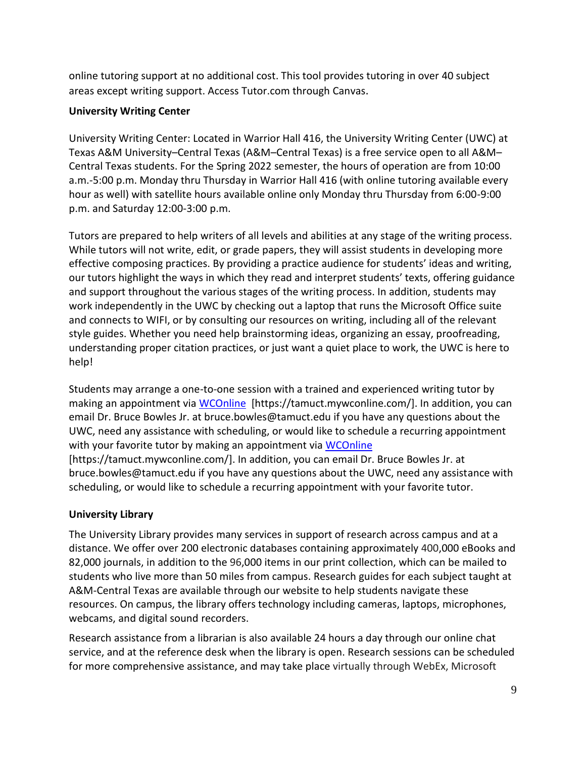online tutoring support at no additional cost. This tool provides tutoring in over 40 subject areas except writing support. Access Tutor.com through Canvas.

# **University Writing Center**

University Writing Center: Located in Warrior Hall 416, the University Writing Center (UWC) at Texas A&M University–Central Texas (A&M–Central Texas) is a free service open to all A&M– Central Texas students. For the Spring 2022 semester, the hours of operation are from 10:00 a.m.-5:00 p.m. Monday thru Thursday in Warrior Hall 416 (with online tutoring available every hour as well) with satellite hours available online only Monday thru Thursday from 6:00-9:00 p.m. and Saturday 12:00-3:00 p.m.

Tutors are prepared to help writers of all levels and abilities at any stage of the writing process. While tutors will not write, edit, or grade papers, they will assist students in developing more effective composing practices. By providing a practice audience for students' ideas and writing, our tutors highlight the ways in which they read and interpret students' texts, offering guidance and support throughout the various stages of the writing process. In addition, students may work independently in the UWC by checking out a laptop that runs the Microsoft Office suite and connects to WIFI, or by consulting our resources on writing, including all of the relevant style guides. Whether you need help brainstorming ideas, organizing an essay, proofreading, understanding proper citation practices, or just want a quiet place to work, the UWC is here to help!

Students may arrange a one-to-one session with a trained and experienced writing tutor by making an appointment via [WCOnline](https://tamuct.mywconline.com/) [https://tamuct.mywconline.com/]. In addition, you can email Dr. Bruce Bowles Jr. at bruce.bowles@tamuct.edu if you have any questions about the UWC, need any assistance with scheduling, or would like to schedule a recurring appointment with your favorite tutor by making an appointment via [WCOnline](https://tamuct.mywconline.com/) [https://tamuct.mywconline.com/]. In addition, you can email Dr. Bruce Bowles Jr. at bruce.bowles@tamuct.edu if you have any questions about the UWC, need any assistance with

scheduling, or would like to schedule a recurring appointment with your favorite tutor.

## **University Library**

The University Library provides many services in support of research across campus and at a distance. We offer over 200 electronic databases containing approximately 400,000 eBooks and 82,000 journals, in addition to the 96,000 items in our print collection, which can be mailed to students who live more than 50 miles from campus. Research guides for each subject taught at A&M-Central Texas are available through our website to help students navigate these resources. On campus, the library offers technology including cameras, laptops, microphones, webcams, and digital sound recorders.

Research assistance from a librarian is also available 24 hours a day through our online chat service, and at the reference desk when the library is open. Research sessions can be scheduled for more comprehensive assistance, and may take place virtually through WebEx, Microsoft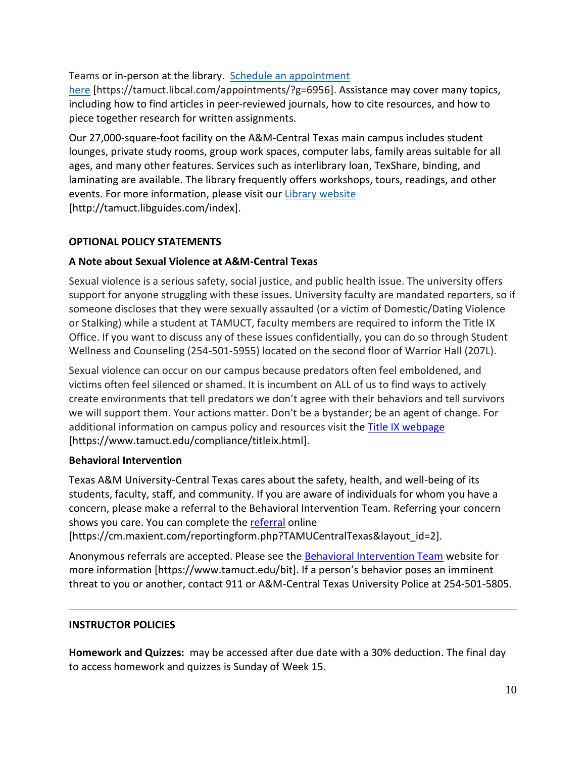## Teams or in-person at the library. Schedule an [appointment](https://nam04.safelinks.protection.outlook.com/?url=https%3A%2F%2Ftamuct.libcal.com%2Fappointments%2F%3Fg%3D6956&data=04%7C01%7Clisa.bunkowski%40tamuct.edu%7Cde2c07d9f5804f09518008d9ab7ba6ff%7C9eed4e3000f744849ff193ad8005acec%7C0%7C0%7C637729369835011558%7CUnknown%7CTWFpbGZsb3d8eyJWIjoiMC4wLjAwMDAiLCJQIjoiV2luMzIiLCJBTiI6Ik1haWwiLCJXVCI6Mn0%3D%7C3000&sdata=KhtjgRSAw9aq%2FoBsB6wyu8b7PSuGN5EGPypzr3Ty2No%3D&reserved=0)

[here](https://nam04.safelinks.protection.outlook.com/?url=https%3A%2F%2Ftamuct.libcal.com%2Fappointments%2F%3Fg%3D6956&data=04%7C01%7Clisa.bunkowski%40tamuct.edu%7Cde2c07d9f5804f09518008d9ab7ba6ff%7C9eed4e3000f744849ff193ad8005acec%7C0%7C0%7C637729369835011558%7CUnknown%7CTWFpbGZsb3d8eyJWIjoiMC4wLjAwMDAiLCJQIjoiV2luMzIiLCJBTiI6Ik1haWwiLCJXVCI6Mn0%3D%7C3000&sdata=KhtjgRSAw9aq%2FoBsB6wyu8b7PSuGN5EGPypzr3Ty2No%3D&reserved=0) [https://tamuct.libcal.com/appointments/?g=6956]. Assistance may cover many topics, including how to find articles in peer-reviewed journals, how to cite resources, and how to piece together research for written assignments.

Our 27,000-square-foot facility on the A&M-Central Texas main campus includes student lounges, private study rooms, group work spaces, computer labs, family areas suitable for all ages, and many other features. Services such as interlibrary loan, TexShare, binding, and laminating are available. The library frequently offers workshops, tours, readings, and other events. For more information, please visit our Library [website](https://nam04.safelinks.protection.outlook.com/?url=https%3A%2F%2Ftamuct.libguides.com%2Findex&data=04%7C01%7Clisa.bunkowski%40tamuct.edu%7C7d8489e8839a4915335f08d916f067f2%7C9eed4e3000f744849ff193ad8005acec%7C0%7C0%7C637566044056484222%7CUnknown%7CTWFpbGZsb3d8eyJWIjoiMC4wLjAwMDAiLCJQIjoiV2luMzIiLCJBTiI6Ik1haWwiLCJXVCI6Mn0%3D%7C1000&sdata=2R755V6rcIyedGrd4Os5rkgn1PvhHKU3kUV1vBKiHFo%3D&reserved=0) [http://tamuct.libguides.com/index].

# **OPTIONAL POLICY STATEMENTS**

## **A Note about Sexual Violence at A&M-Central Texas**

Sexual violence is a serious safety, social justice, and public health issue. The university offers support for anyone struggling with these issues. University faculty are mandated reporters, so if someone discloses that they were sexually assaulted (or a victim of Domestic/Dating Violence or Stalking) while a student at TAMUCT, faculty members are required to inform the Title IX Office. If you want to discuss any of these issues confidentially, you can do so through Student Wellness and Counseling (254-501-5955) located on the second floor of Warrior Hall (207L).

Sexual violence can occur on our campus because predators often feel emboldened, and victims often feel silenced or shamed. It is incumbent on ALL of us to find ways to actively create environments that tell predators we don't agree with their behaviors and tell survivors we will support them. Your actions matter. Don't be a bystander; be an agent of change. For additional information on campus policy and resources visit the [Title IX webpage](https://www.tamuct.edu/compliance/titleix.html) [\[https://www.tamuct.edu/compliance/titleix.html\]](https://www.tamuct.edu/compliance/titleix.html).

## **Behavioral Intervention**

Texas A&M University-Central Texas cares about the safety, health, and well-being of its students, faculty, staff, and community. If you are aware of individuals for whom you have a concern, please make a referral to the Behavioral Intervention Team. Referring your concern shows you care. You can complete the [referral](https://cm.maxient.com/reportingform.php?TAMUCentralTexas&layout_id=2) online [https://cm.maxient.com/reportingform.php?TAMUCentralTexas&layout\_id=2].

Anonymous referrals are accepted. Please see the [Behavioral Intervention Team](https://www.tamuct.edu/bit) website for more information [https://www.tamuct.edu/bit]. If a person's behavior poses an imminent

threat to you or another, contact 911 or A&M-Central Texas University Police at 254-501-5805.

## **INSTRUCTOR POLICIES**

**Homework and Quizzes:** may be accessed after due date with a 30% deduction. The final day to access homework and quizzes is Sunday of Week 15.